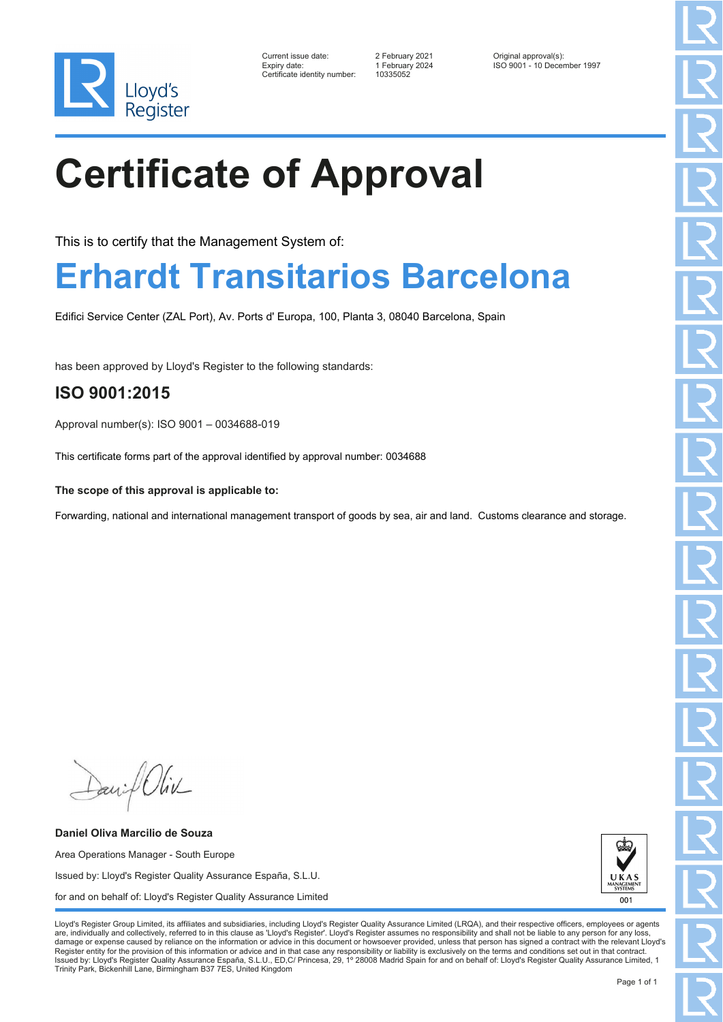

| Current issue date:         |
|-----------------------------|
| Expiry date:                |
| Certificate identity number |

Current issue date: 2 February 2021 Original approval(s): Expiry date: 1 February 2024 ISO 9001 - 10 December 1997

# **Certificate of Approval**

This is to certify that the Management System of:

## **Erhardt Transitarios Barcelona**

Edifici Service Center (ZAL Port), Av. Ports d' Europa, 100, Planta 3, 08040 Barcelona, Spain

has been approved by Lloyd's Register to the following standards:

### **ISO 9001:2015**

Approval number(s): ISO 9001 – 0034688-019

This certificate forms part of the approval identified by approval number: 0034688

**The scope of this approval is applicable to:**

Forwarding, national and international management transport of goods by sea, air and land. Customs clearance and storage.

David Oliv

**Daniel Oliva Marcilio de Souza** Area Operations Manager - South Europe Issued by: Lloyd's Register Quality Assurance España, S.L.U. for and on behalf of: Lloyd's Register Quality Assurance Limited

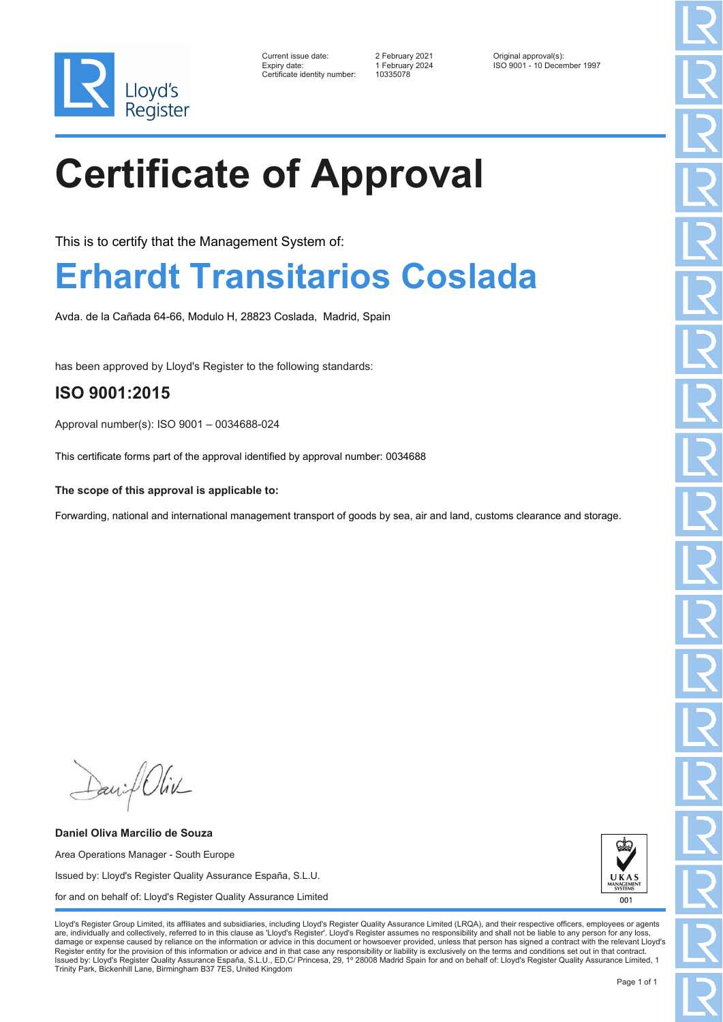

| Current issue date:         |
|-----------------------------|
| Expiry date:                |
| Certificate identity number |

Current issue date: 2 February 2021 Original approval(s): Expiry date: 1 February 2024 ISO 9001 - 10 December 1997

# **Certificate of Approval**

This is to certify that the Management System of:

### **Erhardt Transitarios Coslada**

Avda. de la Cañada 64-66, Modulo H, 28823 Coslada, Madrid, Spain

has been approved by Lloyd's Register to the following standards:

#### **ISO 9001:2015**

Approval number(s): ISO 9001 – 0034688-024

This certificate forms part of the approval identified by approval number: 0034688

**The scope of this approval is applicable to:**

Forwarding, national and international management transport of goods by sea, air and land, customs clearance and storage.

David Oliv

**Daniel Oliva Marcilio de Souza** Area Operations Manager - South Europe Issued by: Lloyd's Register Quality Assurance España, S.L.U. for and on behalf of: Lloyd's Register Quality Assurance Limited

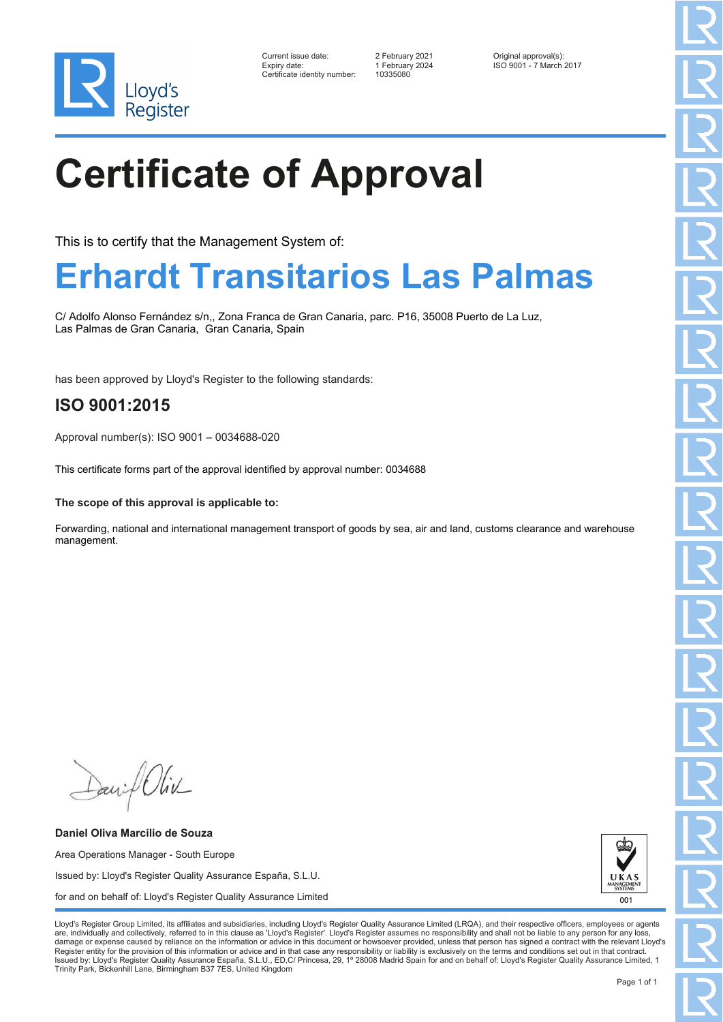

| Current issue date:          | 2 February 2021 | Original approval(s):   |
|------------------------------|-----------------|-------------------------|
| Expiry date:                 | 1 February 2024 | ISO 9001 - 7 March 2017 |
| Certificate identity number: | 10335080        |                         |

## **Certificate of Approval**

This is to certify that the Management System of:

## **Erhardt Transitarios Las Palmas**

C/ Adolfo Alonso Fernández s/n,, Zona Franca de Gran Canaria, parc. P16, 35008 Puerto de La Luz, Las Palmas de Gran Canaria, Gran Canaria, Spain

has been approved by Lloyd's Register to the following standards:

### **ISO 9001:2015**

Approval number(s): ISO 9001 – 0034688-020

This certificate forms part of the approval identified by approval number: 0034688

#### **The scope of this approval is applicable to:**

Forwarding, national and international management transport of goods by sea, air and land, customs clearance and warehouse management.

Daniel Oliv

**Daniel Oliva Marcilio de Souza** Area Operations Manager - South Europe Issued by: Lloyd's Register Quality Assurance España, S.L.U. for and on behalf of: Lloyd's Register Quality Assurance Limited

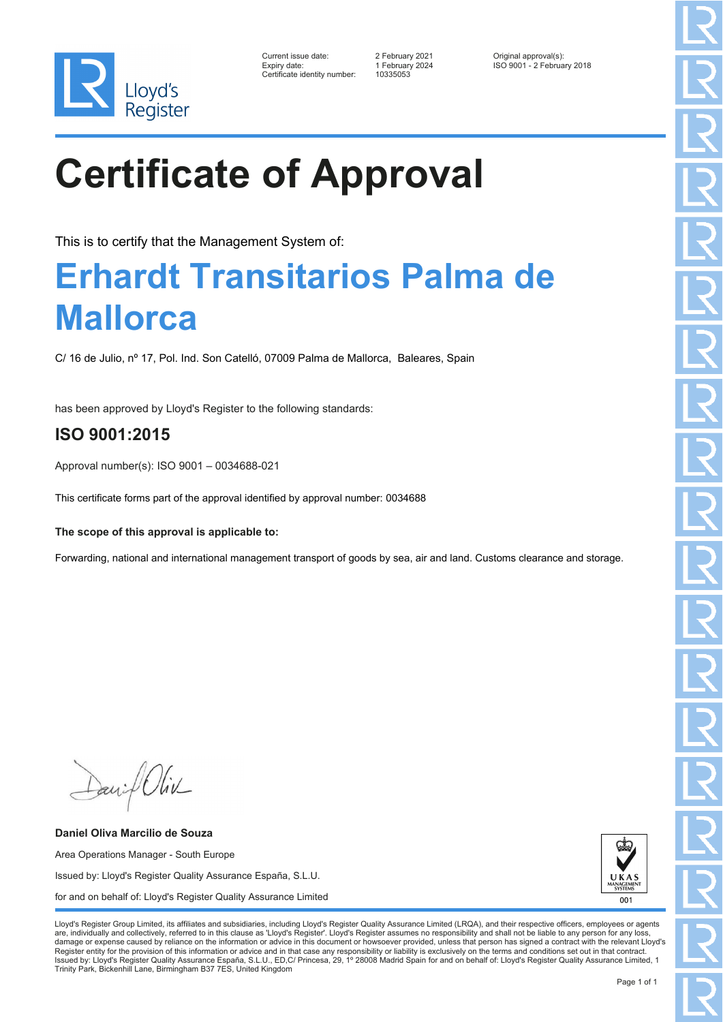

| Current issue date:         |
|-----------------------------|
| Expiry date:                |
| Certificate identity number |

Current issue date: 2 February 2021 Current issue date:<br>
Expiry date: 1 February 2024 ISO 9001 - 2 February 2018

# **Certificate of Approval**

This is to certify that the Management System of:

## **Erhardt Transitarios Palma de Mallorca**

C/ 16 de Julio, nº 17, Pol. Ind. Son Catelló, 07009 Palma de Mallorca, Baleares, Spain

has been approved by Lloyd's Register to the following standards:

### **ISO 9001:2015**

Approval number(s): ISO 9001 – 0034688-021

This certificate forms part of the approval identified by approval number: 0034688

**The scope of this approval is applicable to:**

Forwarding, national and international management transport of goods by sea, air and land. Customs clearance and storage.

Daniel Oliv

**Daniel Oliva Marcilio de Souza** Area Operations Manager - South Europe Issued by: Lloyd's Register Quality Assurance España, S.L.U. for and on behalf of: Lloyd's Register Quality Assurance Limited

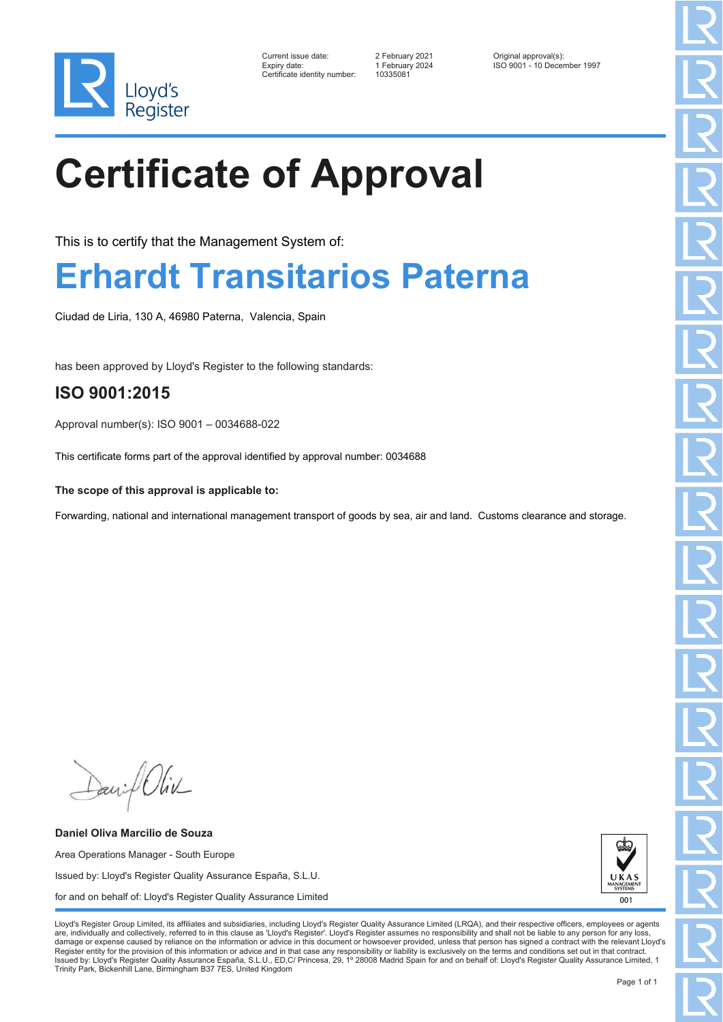

| Current issue date:         |
|-----------------------------|
| Expiry date:                |
| Certificate identity number |

Current issue date: 2 February 2021 Original approval(s): Expiry date: 1 February 2024 ISO 9001 - 10 December 1997

# **Certificate of Approval**

This is to certify that the Management System of:

### **Erhardt Transitarios Paterna**

Ciudad de Liria, 130 A, 46980 Paterna, Valencia, Spain

has been approved by Lloyd's Register to the following standards:

### **ISO 9001:2015**

Approval number(s): ISO 9001 – 0034688-022

This certificate forms part of the approval identified by approval number: 0034688

**The scope of this approval is applicable to:**

Forwarding, national and international management transport of goods by sea, air and land. Customs clearance and storage.

David Oliv

**Daniel Oliva Marcilio de Souza** Area Operations Manager - South Europe Issued by: Lloyd's Register Quality Assurance España, S.L.U. for and on behalf of: Lloyd's Register Quality Assurance Limited

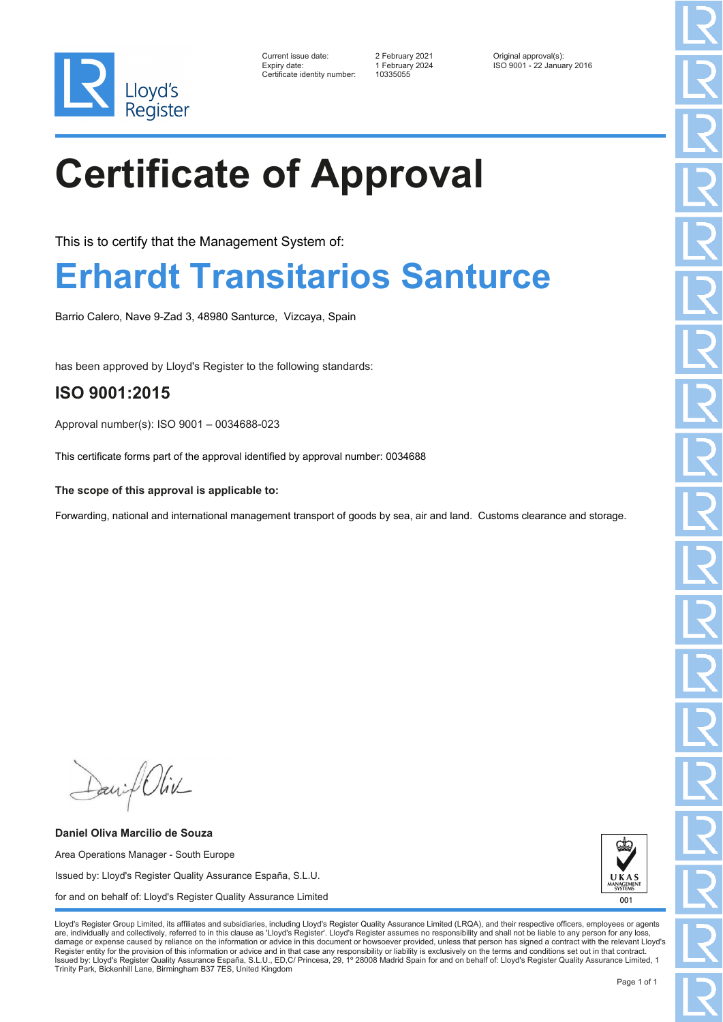

| Current issue date:         |
|-----------------------------|
| Expiry date:                |
| Certificate identity number |

Current issue date: 2 February 2021 Current issue date:<br>1 February 2024 ISO 9001 - 22 January 2016

## **Certificate of Approval**

This is to certify that the Management System of:

### **Erhardt Transitarios Santurce**

Barrio Calero, Nave 9-Zad 3, 48980 Santurce, Vizcaya, Spain

has been approved by Lloyd's Register to the following standards:

#### **ISO 9001:2015**

Approval number(s): ISO 9001 – 0034688-023

This certificate forms part of the approval identified by approval number: 0034688

**The scope of this approval is applicable to:**

Forwarding, national and international management transport of goods by sea, air and land. Customs clearance and storage.

Daniel Oliv

**Daniel Oliva Marcilio de Souza** Area Operations Manager - South Europe Issued by: Lloyd's Register Quality Assurance España, S.L.U. for and on behalf of: Lloyd's Register Quality Assurance Limited